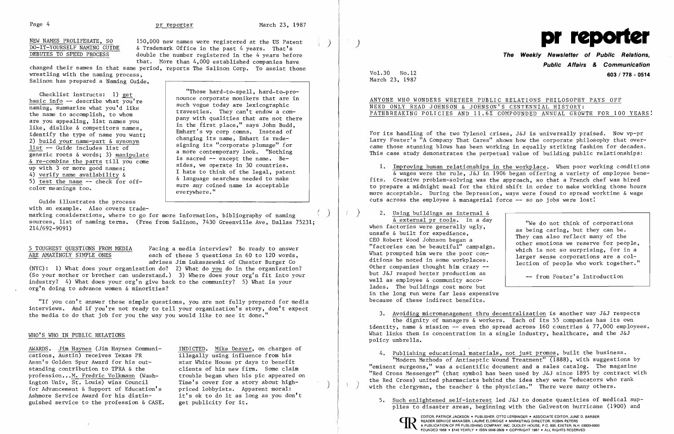NEW NAMES PROLIFERATE, SO 150,000 new names were registered at the US Patent  $\overline{DO-IT-YOURSELF}$  NAMING GUIDE & Trademark Office in the past 4 years. That's DEBUTES TO SPEED PROCESS double the number registered in the 4 years double the number registered in the 4 years before that. More than 4,000 established companies have

pany with qualities that are not there<br>in the first place," says John Budd,

changed their names in that same period, reports The Salinon Corp. To assist those wrestling with the naming process, Salinon has prepared a Naming Guide.

Checklist instructs: 1) <u>get</u><br>
basic info -- describe what you're<br>
maming, summarize what you'd like<br>
the name to accomplish, to whom<br>
the name to accomplish, to whom<br>
the name is althogody are lexicographic<br>
travesties. T are you appealing, list names you<br>
like, dislike & competitors names,<br>
identify the type of name you want;<br>
2) <u>build your name-part & synonym</u><br>
list -- Guide includes list of a more companyment look. "Nothing 1ist -- Guide includes list of<br>generic roots & words; 3) manipulate a more contemporary look. "Nothing<br>is sacred -- except the name. Be-<br>up with 3 or more good names;<br>ides, we operate in 30 countries.  $\begin{array}{c|c|c|c|c|c|c} \hline \text{with 3 of more good names,} \hline \text{4) verify name availability & & & \text{I hate to think of the legal, patent} \\\hline \text{5) test the name -- check for off--} & & \text{a language searches needed to make sure any coined name is acceptable} \\\hline \end{array}$ 

5 TOUGHEST QUESTIONS FROM MEDIA Facing a media interview? Be ready to answer<br>ARE AMAZINGLY SIMPLE ONES each of these 5 questions in 60 to 120 words, each of these 5 questions in 60 to 120 words, advises Jim Lukaszewski of Chester Burger Co

sure any coined name is acceptable

eve rywhere. "

Guide illustrates the process with an example. Also covers trade-

ANYONE WHO WONDERS WHETHER PUBLIC RELATIONS PHILOSOPHY PAYS OFF NEED ONLY READ JOHNSON & JOHNSON'S CENTENNIAL HISTORY: PATHBREAKING POLICIES AND 11.6% COMPOUNDED ANNUAL GROWTH FOR 100 YEARS!

marking considerations, where to go for more information, bibliography of naming ) sources, list of naming terms. (Free from Salinon, 7430 Greenville Ave, Dallas 75231; 214/692-9091)

1. Improving human relationships in the workplace. When poor working conditions & wages were the rule, J&J in 1906 began offering a variety of employee benefits. Creative problem-solving was the approach, so that a French chef was hired to prepare a midnight meal for the third shift in order to make working those hours more acceptable. During the Depression, ways were found to spread worktime & wage cuts across the employee  $\&$  managerial force  $--$  so no jobs were lost!

(NYC): 1) What does your organization do? 2) What do you do in the organization? (So your mother or brother can understand.) 3) Where does your org'n fit into your industry? 4) What does your org'n give back to the community? 5) What is your org'n doing to advance women & minorities?

"If you can't answer these simple questions, you are not fully prepared for media interviews. And if you're not ready to tell your organization's story, don't expect the media to do that job for you the way you would like to see it done."

3. Avoiding micromanagement thru decentralization is another way J&J respects the dignity of managers & workers. Each of its 55 companies has its own identity, name & mission -- even tho spread across  $160$  countries &  $77,000$  employees.

### WHO'S WHO IN PUBLIC RELATIONS

AWARDS. Jim Haynes (Jim Haynes Communi- INDICTED. Mike Deaver, on charges of cations, Austin) receives Texas PR illegally using influence from his Assn's Golden Spur Award for his out-<br>star White House pr days to benefit<br>standing contribution to TPRA & the<br>clients of his new firm. Some claim profession...M. Fredric Volkmann (Washington Univ, St. Louis) wins Council Time's cover for a story about high-<br>for Advancement & Support of Education's priced lobbyists. Apparent moral: Ashmore Service Award for his distin-<br>guished service to the profession & CASE. get publicity for it.

clients of his new firm. Some claim<br>trouble began when his pic appeared on

- (a) 2. Using buildings as internal  $\frac{\delta}{\delta}$  external pr tools. In a day When factories were generally ugly,<br>
unsafe & built for expedience,<br>
CEO Robert Wood Johnson began a<br>
"factories can be beautiful" campaign.<br>
What prompted him were the poor con-<br>
ditions he noted in some workplaces.<br>
Othe Other companies thought him crazy -but J&J reaped better production as<br>well as employee & community accowell as employee & community accolades. The buildings cost more but in the long run were far less expensive because of these indirect benefits.
	- What links them is concentration in a single industry, healthcare, and the J&J policy umbrella.
	-

4. Publishing educational materials, not just promos, built the business. "Modern Methods of Antiseptic Wound Treatment" (1888), with suggestions by "eminent surgeons," was a scientific document and a sales catalog. The magazine "Red Cross Messenger" (that symbol has been used by J&J since 1895 by contract with the Red Cross) united pharmacists behind the idea they were "educators who rank with the clergyman, the teacher  $\&$  the physician." There were many others.

5. Such enlightened self-interest led J&J to donate quantities of medical supplies to disaster areas, beginning with the Galveston hurricane (1900) and



## **The Weekly Newsletter of Public Relations, Public Affairs & Communication**  Vo1.30 No.12 **603/778 - 0514**

March 23, 1987

For its handling of the two Tylenol crises, J&J is universally praised. Now vp-pr Larry Foster's "A Company That Cares" shows how the corporate philosophy that over came those stunning blows has been working in equally striking fashion for decades. This case study demonstrates the perpetual value of building public relationships: